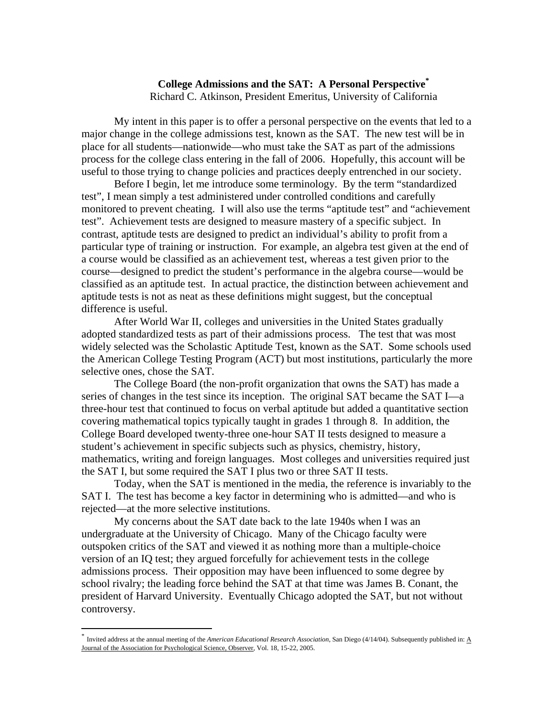## **College Admissions and the SAT: A Personal Perspective\***  Richard C. Atkinson, President Emeritus, University of California

My intent in this paper is to offer a personal perspective on the events that led to a major change in the college admissions test, known as the SAT. The new test will be in place for all students—nationwide—who must take the SAT as part of the admissions process for the college class entering in the fall of 2006. Hopefully, this account will be useful to those trying to change policies and practices deeply entrenched in our society.

Before I begin, let me introduce some terminology. By the term "standardized test", I mean simply a test administered under controlled conditions and carefully monitored to prevent cheating. I will also use the terms "aptitude test" and "achievement test". Achievement tests are designed to measure mastery of a specific subject. In contrast, aptitude tests are designed to predict an individual's ability to profit from a particular type of training or instruction. For example, an algebra test given at the end of a course would be classified as an achievement test, whereas a test given prior to the course—designed to predict the student's performance in the algebra course—would be classified as an aptitude test. In actual practice, the distinction between achievement and aptitude tests is not as neat as these definitions might suggest, but the conceptual difference is useful.

After World War II, colleges and universities in the United States gradually adopted standardized tests as part of their admissions process. The test that was most widely selected was the Scholastic Aptitude Test, known as the SAT. Some schools used the American College Testing Program (ACT) but most institutions, particularly the more selective ones, chose the SAT.

The College Board (the non-profit organization that owns the SAT) has made a series of changes in the test since its inception. The original SAT became the SAT I—a three-hour test that continued to focus on verbal aptitude but added a quantitative section covering mathematical topics typically taught in grades 1 through 8. In addition, the College Board developed twenty-three one-hour SAT II tests designed to measure a student's achievement in specific subjects such as physics, chemistry, history, mathematics, writing and foreign languages. Most colleges and universities required just the SAT I, but some required the SAT I plus two or three SAT II tests.

Today, when the SAT is mentioned in the media, the reference is invariably to the SAT I. The test has become a key factor in determining who is admitted—and who is rejected—at the more selective institutions.

My concerns about the SAT date back to the late 1940s when I was an undergraduate at the University of Chicago. Many of the Chicago faculty were outspoken critics of the SAT and viewed it as nothing more than a multiple-choice version of an IQ test; they argued forcefully for achievement tests in the college admissions process. Their opposition may have been influenced to some degree by school rivalry; the leading force behind the SAT at that time was James B. Conant, the president of Harvard University. Eventually Chicago adopted the SAT, but not without controversy.

 $\overline{a}$ 

<sup>\*</sup> Invited address at the annual meeting of the *American Educational Research Association*, San Diego (4/14/04). Subsequently published in: A Journal of the Association for Psychological Science, Observer, Vol. 18, 15-22, 2005.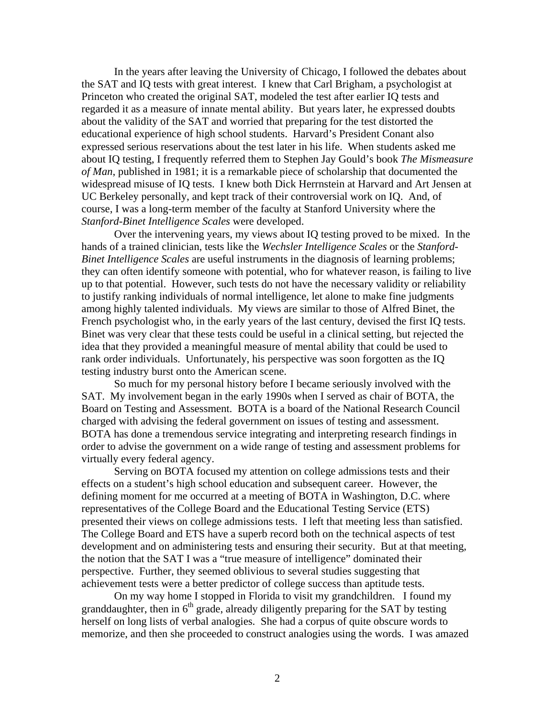In the years after leaving the University of Chicago, I followed the debates about the SAT and IQ tests with great interest. I knew that Carl Brigham, a psychologist at Princeton who created the original SAT, modeled the test after earlier IQ tests and regarded it as a measure of innate mental ability. But years later, he expressed doubts about the validity of the SAT and worried that preparing for the test distorted the educational experience of high school students. Harvard's President Conant also expressed serious reservations about the test later in his life. When students asked me about IQ testing, I frequently referred them to Stephen Jay Gould's book *The Mismeasure of Man*, published in 1981; it is a remarkable piece of scholarship that documented the widespread misuse of IQ tests. I knew both Dick Herrnstein at Harvard and Art Jensen at UC Berkeley personally, and kept track of their controversial work on IQ. And, of course, I was a long-term member of the faculty at Stanford University where the *Stanford-Binet Intelligence Scales* were developed.

Over the intervening years, my views about IQ testing proved to be mixed. In the hands of a trained clinician, tests like the *Wechsler Intelligence Scales* or the *Stanford-Binet Intelligence Scales* are useful instruments in the diagnosis of learning problems; they can often identify someone with potential, who for whatever reason, is failing to live up to that potential. However, such tests do not have the necessary validity or reliability to justify ranking individuals of normal intelligence, let alone to make fine judgments among highly talented individuals. My views are similar to those of Alfred Binet, the French psychologist who, in the early years of the last century, devised the first IQ tests. Binet was very clear that these tests could be useful in a clinical setting, but rejected the idea that they provided a meaningful measure of mental ability that could be used to rank order individuals. Unfortunately, his perspective was soon forgotten as the IQ testing industry burst onto the American scene.

So much for my personal history before I became seriously involved with the SAT. My involvement began in the early 1990s when I served as chair of BOTA, the Board on Testing and Assessment. BOTA is a board of the National Research Council charged with advising the federal government on issues of testing and assessment. BOTA has done a tremendous service integrating and interpreting research findings in order to advise the government on a wide range of testing and assessment problems for virtually every federal agency.

Serving on BOTA focused my attention on college admissions tests and their effects on a student's high school education and subsequent career. However, the defining moment for me occurred at a meeting of BOTA in Washington, D.C. where representatives of the College Board and the Educational Testing Service (ETS) presented their views on college admissions tests. I left that meeting less than satisfied. The College Board and ETS have a superb record both on the technical aspects of test development and on administering tests and ensuring their security. But at that meeting, the notion that the SAT I was a "true measure of intelligence" dominated their perspective. Further, they seemed oblivious to several studies suggesting that achievement tests were a better predictor of college success than aptitude tests.

On my way home I stopped in Florida to visit my grandchildren. I found my granddaughter, then in  $6<sup>th</sup>$  grade, already diligently preparing for the SAT by testing herself on long lists of verbal analogies. She had a corpus of quite obscure words to memorize, and then she proceeded to construct analogies using the words. I was amazed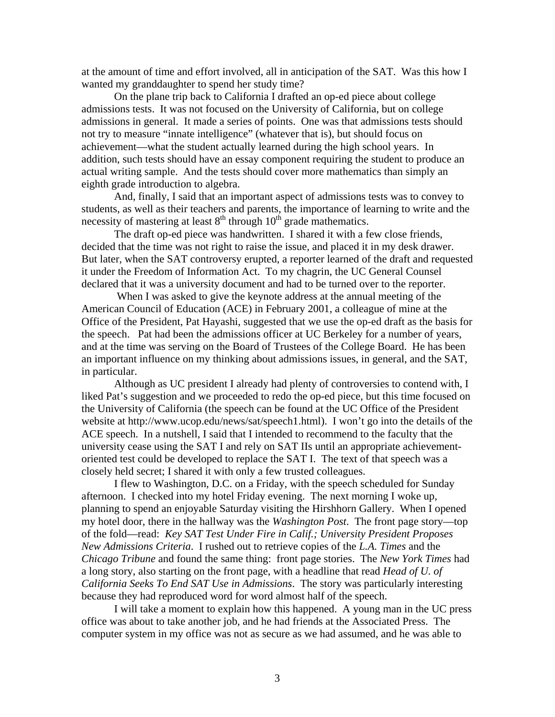at the amount of time and effort involved, all in anticipation of the SAT. Was this how I wanted my granddaughter to spend her study time?

On the plane trip back to California I drafted an op-ed piece about college admissions tests. It was not focused on the University of California, but on college admissions in general. It made a series of points. One was that admissions tests should not try to measure "innate intelligence" (whatever that is), but should focus on achievement—what the student actually learned during the high school years. In addition, such tests should have an essay component requiring the student to produce an actual writing sample. And the tests should cover more mathematics than simply an eighth grade introduction to algebra.

And, finally, I said that an important aspect of admissions tests was to convey to students, as well as their teachers and parents, the importance of learning to write and the necessity of mastering at least  $8<sup>th</sup>$  through  $10<sup>th</sup>$  grade mathematics.

The draft op-ed piece was handwritten. I shared it with a few close friends, decided that the time was not right to raise the issue, and placed it in my desk drawer. But later, when the SAT controversy erupted, a reporter learned of the draft and requested it under the Freedom of Information Act. To my chagrin, the UC General Counsel declared that it was a university document and had to be turned over to the reporter.

 When I was asked to give the keynote address at the annual meeting of the American Council of Education (ACE) in February 2001, a colleague of mine at the Office of the President, Pat Hayashi, suggested that we use the op-ed draft as the basis for the speech. Pat had been the admissions officer at UC Berkeley for a number of years, and at the time was serving on the Board of Trustees of the College Board. He has been an important influence on my thinking about admissions issues, in general, and the SAT, in particular.

Although as UC president I already had plenty of controversies to contend with, I liked Pat's suggestion and we proceeded to redo the op-ed piece, but this time focused on the University of California (the speech can be found at the UC Office of the President website at http://www.ucop.edu/news/sat/speech1.html). I won't go into the details of the ACE speech. In a nutshell, I said that I intended to recommend to the faculty that the university cease using the SAT I and rely on SAT IIs until an appropriate achievementoriented test could be developed to replace the SAT I. The text of that speech was a closely held secret; I shared it with only a few trusted colleagues.

I flew to Washington, D.C. on a Friday, with the speech scheduled for Sunday afternoon. I checked into my hotel Friday evening. The next morning I woke up, planning to spend an enjoyable Saturday visiting the Hirshhorn Gallery. When I opened my hotel door, there in the hallway was the *Washington Post*. The front page story—top of the fold—read: *Key SAT Test Under Fire in Calif.; University President Proposes New Admissions Criteria*. I rushed out to retrieve copies of the *L.A. Times* and the *Chicago Tribune* and found the same thing: front page stories. The *New York Times* had a long story, also starting on the front page, with a headline that read *Head of U. of California Seeks To End SAT Use in Admissions*. The story was particularly interesting because they had reproduced word for word almost half of the speech.

I will take a moment to explain how this happened. A young man in the UC press office was about to take another job, and he had friends at the Associated Press. The computer system in my office was not as secure as we had assumed, and he was able to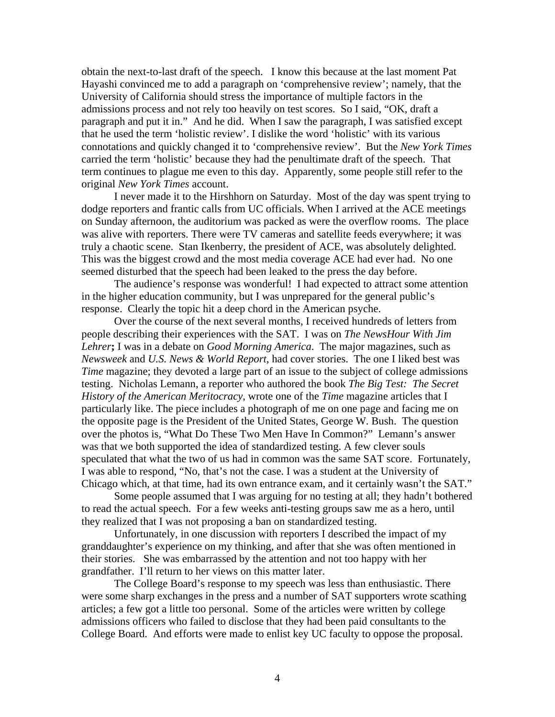obtain the next-to-last draft of the speech. I know this because at the last moment Pat Hayashi convinced me to add a paragraph on 'comprehensive review'; namely, that the University of California should stress the importance of multiple factors in the admissions process and not rely too heavily on test scores. So I said, "OK, draft a paragraph and put it in." And he did. When I saw the paragraph, I was satisfied except that he used the term 'holistic review'. I dislike the word 'holistic' with its various connotations and quickly changed it to 'comprehensive review'. But the *New York Times* carried the term 'holistic' because they had the penultimate draft of the speech. That term continues to plague me even to this day. Apparently, some people still refer to the original *New York Times* account.

I never made it to the Hirshhorn on Saturday. Most of the day was spent trying to dodge reporters and frantic calls from UC officials. When I arrived at the ACE meetings on Sunday afternoon, the auditorium was packed as were the overflow rooms. The place was alive with reporters. There were TV cameras and satellite feeds everywhere; it was truly a chaotic scene. Stan Ikenberry, the president of ACE, was absolutely delighted. This was the biggest crowd and the most media coverage ACE had ever had. No one seemed disturbed that the speech had been leaked to the press the day before.

The audience's response was wonderful! I had expected to attract some attention in the higher education community, but I was unprepared for the general public's response. Clearly the topic hit a deep chord in the American psyche.

Over the course of the next several months, I received hundreds of letters from people describing their experiences with the SAT. I was on *The NewsHour With Jim Lehrer***;** I was in a debate on *Good Morning America*. The major magazines, such as *Newsweek* and *U.S. News & World Report*, had cover stories. The one I liked best was *Time* magazine; they devoted a large part of an issue to the subject of college admissions testing. Nicholas Lemann, a reporter who authored the book *The Big Test: The Secret History of the American Meritocracy*, wrote one of the *Time* magazine articles that I particularly like. The piece includes a photograph of me on one page and facing me on the opposite page is the President of the United States, George W. Bush. The question over the photos is, "What Do These Two Men Have In Common?" Lemann's answer was that we both supported the idea of standardized testing. A few clever souls speculated that what the two of us had in common was the same SAT score. Fortunately, I was able to respond, "No, that's not the case. I was a student at the University of Chicago which, at that time, had its own entrance exam, and it certainly wasn't the SAT."

Some people assumed that I was arguing for no testing at all; they hadn't bothered to read the actual speech. For a few weeks anti-testing groups saw me as a hero, until they realized that I was not proposing a ban on standardized testing.

Unfortunately, in one discussion with reporters I described the impact of my granddaughter's experience on my thinking, and after that she was often mentioned in their stories. She was embarrassed by the attention and not too happy with her grandfather. I'll return to her views on this matter later.

The College Board's response to my speech was less than enthusiastic. There were some sharp exchanges in the press and a number of SAT supporters wrote scathing articles; a few got a little too personal. Some of the articles were written by college admissions officers who failed to disclose that they had been paid consultants to the College Board. And efforts were made to enlist key UC faculty to oppose the proposal.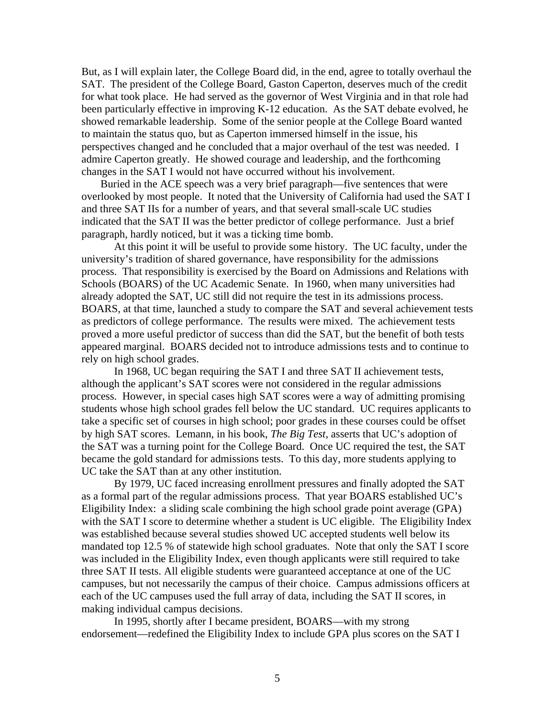But, as I will explain later, the College Board did, in the end, agree to totally overhaul the SAT. The president of the College Board, Gaston Caperton, deserves much of the credit for what took place. He had served as the governor of West Virginia and in that role had been particularly effective in improving K-12 education. As the SAT debate evolved, he showed remarkable leadership. Some of the senior people at the College Board wanted to maintain the status quo, but as Caperton immersed himself in the issue, his perspectives changed and he concluded that a major overhaul of the test was needed. I admire Caperton greatly. He showed courage and leadership, and the forthcoming changes in the SAT I would not have occurred without his involvement.

 Buried in the ACE speech was a very brief paragraph—five sentences that were overlooked by most people. It noted that the University of California had used the SAT I and three SAT IIs for a number of years, and that several small-scale UC studies indicated that the SAT II was the better predictor of college performance. Just a brief paragraph, hardly noticed, but it was a ticking time bomb.

At this point it will be useful to provide some history. The UC faculty, under the university's tradition of shared governance, have responsibility for the admissions process. That responsibility is exercised by the Board on Admissions and Relations with Schools (BOARS) of the UC Academic Senate. In 1960, when many universities had already adopted the SAT, UC still did not require the test in its admissions process. BOARS, at that time, launched a study to compare the SAT and several achievement tests as predictors of college performance. The results were mixed. The achievement tests proved a more useful predictor of success than did the SAT, but the benefit of both tests appeared marginal. BOARS decided not to introduce admissions tests and to continue to rely on high school grades.

In 1968, UC began requiring the SAT I and three SAT II achievement tests, although the applicant's SAT scores were not considered in the regular admissions process. However, in special cases high SAT scores were a way of admitting promising students whose high school grades fell below the UC standard. UC requires applicants to take a specific set of courses in high school; poor grades in these courses could be offset by high SAT scores. Lemann, in his book, *The Big Test*, asserts that UC's adoption of the SAT was a turning point for the College Board. Once UC required the test, the SAT became the gold standard for admissions tests. To this day, more students applying to UC take the SAT than at any other institution.

By 1979, UC faced increasing enrollment pressures and finally adopted the SAT as a formal part of the regular admissions process. That year BOARS established UC's Eligibility Index: a sliding scale combining the high school grade point average (GPA) with the SAT I score to determine whether a student is UC eligible. The Eligibility Index was established because several studies showed UC accepted students well below its mandated top 12.5 % of statewide high school graduates. Note that only the SAT I score was included in the Eligibility Index, even though applicants were still required to take three SAT II tests. All eligible students were guaranteed acceptance at one of the UC campuses, but not necessarily the campus of their choice. Campus admissions officers at each of the UC campuses used the full array of data, including the SAT II scores, in making individual campus decisions.

In 1995, shortly after I became president, BOARS—with my strong endorsement—redefined the Eligibility Index to include GPA plus scores on the SAT I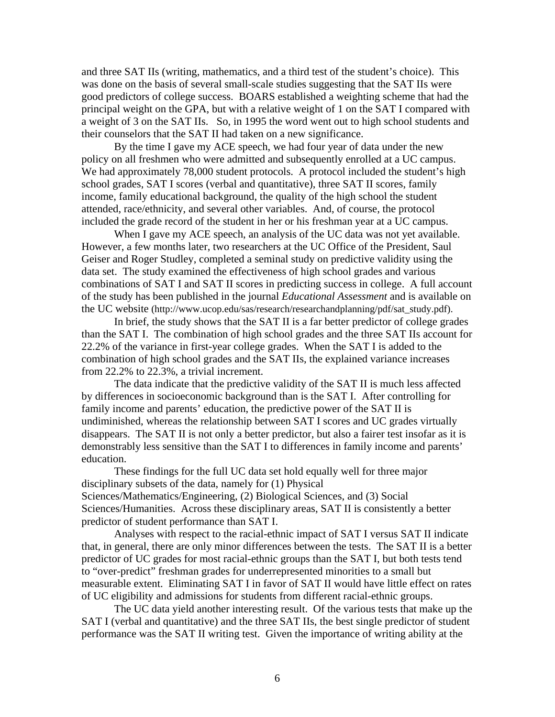and three SAT IIs (writing, mathematics, and a third test of the student's choice). This was done on the basis of several small-scale studies suggesting that the SAT IIs were good predictors of college success. BOARS established a weighting scheme that had the principal weight on the GPA, but with a relative weight of 1 on the SAT I compared with a weight of 3 on the SAT IIs. So, in 1995 the word went out to high school students and their counselors that the SAT II had taken on a new significance.

By the time I gave my ACE speech, we had four year of data under the new policy on all freshmen who were admitted and subsequently enrolled at a UC campus. We had approximately 78,000 student protocols. A protocol included the student's high school grades, SAT I scores (verbal and quantitative), three SAT II scores, family income, family educational background, the quality of the high school the student attended, race/ethnicity, and several other variables. And, of course, the protocol included the grade record of the student in her or his freshman year at a UC campus.

When I gave my ACE speech, an analysis of the UC data was not yet available. However, a few months later, two researchers at the UC Office of the President, Saul Geiser and Roger Studley, completed a seminal study on predictive validity using the data set. The study examined the effectiveness of high school grades and various combinations of SAT I and SAT II scores in predicting success in college. A full account of the study has been published in the journal *Educational Assessment* and is available on the UC website (http://www.ucop.edu/sas/research/researchandplanning/pdf/sat\_study.pdf).

 In brief, the study shows that the SAT II is a far better predictor of college grades than the SAT I. The combination of high school grades and the three SAT IIs account for 22.2% of the variance in first-year college grades. When the SAT I is added to the combination of high school grades and the SAT IIs, the explained variance increases from 22.2% to 22.3%, a trivial increment.

The data indicate that the predictive validity of the SAT II is much less affected by differences in socioeconomic background than is the SAT I. After controlling for family income and parents' education, the predictive power of the SAT II is undiminished, whereas the relationship between SAT I scores and UC grades virtually disappears. The SAT II is not only a better predictor, but also a fairer test insofar as it is demonstrably less sensitive than the SAT I to differences in family income and parents' education.

These findings for the full UC data set hold equally well for three major disciplinary subsets of the data, namely for (1) Physical Sciences/Mathematics/Engineering, (2) Biological Sciences, and (3) Social Sciences/Humanities. Across these disciplinary areas, SAT II is consistently a better predictor of student performance than SAT I.

Analyses with respect to the racial-ethnic impact of SAT I versus SAT II indicate that, in general, there are only minor differences between the tests. The SAT II is a better predictor of UC grades for most racial-ethnic groups than the SAT I, but both tests tend to "over-predict" freshman grades for underrepresented minorities to a small but measurable extent. Eliminating SAT I in favor of SAT II would have little effect on rates of UC eligibility and admissions for students from different racial-ethnic groups.

 The UC data yield another interesting result. Of the various tests that make up the SAT I (verbal and quantitative) and the three SAT IIs, the best single predictor of student performance was the SAT II writing test. Given the importance of writing ability at the